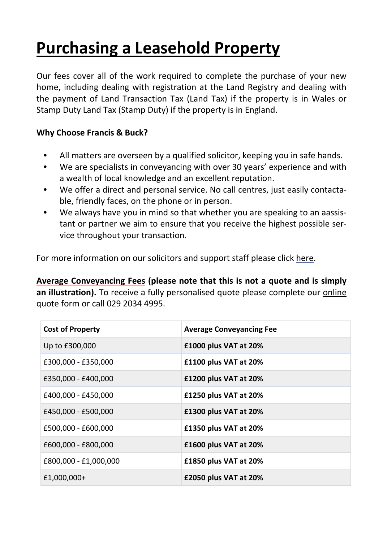# **Purchasing a Leasehold Property**

Our fees cover all of the work required to complete the purchase of your new home, including dealing with registration at the Land Registry and dealing with the payment of Land Transaction Tax (Land Tax) if the property is in Wales or Stamp Duty Land Tax (Stamp Duty) if the property is in England.

## **Why Choose Francis & Buck?**

- **•** All matters are overseen by a qualified solicitor, keeping you in safe hands.
- **•** We are specialists in conveyancing with over 30 years' experience and with a wealth of local knowledge and an excellent reputation.
- **•** We offer a direct and personal service. No call centres, just easily contactable, friendly faces, on the phone or in person.
- **•** We always have you in mind so that whether you are speaking to an aassistant or partner we aim to ensure that you receive the highest possible service throughout your transaction.

For more information on our solicitors and support staff please click [here.](http://francisandbuck.co.uk/meet-the-team/)

**Average Conveyancing Fees (please note that this is not a quote and is simply** an **illustration).** To receive a fully personalised quote please complete our **[online](http://francisandbuck.co.uk/contact-us/)** [quote](http://francisandbuck.co.uk/contact-us/) form or call 029 2034 4995.

| <b>Cost of Property</b> | <b>Average Conveyancing Fee</b> |
|-------------------------|---------------------------------|
| Up to £300,000          | £1000 plus VAT at 20%           |
| £300,000 - £350,000     | £1100 plus VAT at 20%           |
| £350,000 - £400,000     | £1200 plus VAT at 20%           |
| £400,000 - £450,000     | £1250 plus VAT at 20%           |
| £450,000 - £500,000     | £1300 plus VAT at 20%           |
| £500,000 - £600,000     | £1350 plus VAT at 20%           |
| £600,000 - £800,000     | £1600 plus VAT at 20%           |
| £800,000 - £1,000,000   | £1850 plus VAT at 20%           |
| £1,000,000+             | £2050 plus VAT at 20%           |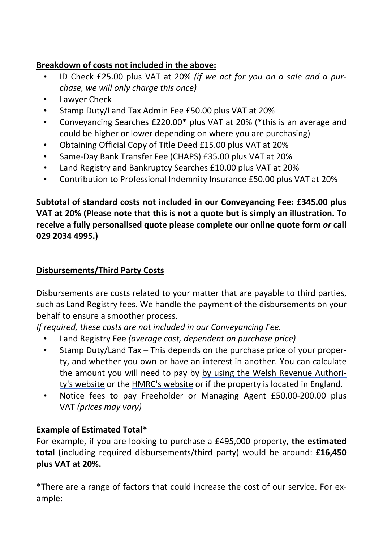## **Breakdown of costs not included in the above:**

- ID Check £25.00 plus VAT at 20% *(if we act for you on a sale and a purchase, we will only charge this once)*
- Lawyer Check
- Stamp Duty/Land Tax Admin Fee £50.00 plus VAT at 20%
- Conveyancing Searches £220.00\* plus VAT at 20% (\*this is an average and could be higher or lower depending on where you are purchasing)
- Obtaining Official Copy of Title Deed £15.00 plus VAT at 20%
- Same-Day Bank Transfer Fee (CHAPS) £35.00 plus VAT at 20%
- Land Registry and Bankruptcy Searches £10.00 plus VAT at 20%
- Contribution to Professional Indemnity Insurance £50.00 plus VAT at 20%

**Subtotal of standard costs not included in our Conveyancing Fee: £345.00 plus VAT at 20% (Please note that this is not a quote but is simply an illustration. To receive a fully personalised quote please complete our [online](http://francisandbuck.co.uk/contact-us/) quote form** *or* **call 029 2034 4995.)**

#### **Disbursements/Third Party Costs**

Disbursements are costs related to your matter that are payable to third parties, such as Land Registry fees. We handle the payment of the disbursements on your behalf to ensure a smoother process.

*If required, these costs are not included in our Conveyancing Fee.*

- Land Registry Fee *(average cost, [dependent](https://www.gov.uk/guidance/hm-land-registry-registration-services-fees) on purchase price)*
- Stamp Duty/Land Tax This depends on the purchase price of your property, and whether you own or have an interest in another. You can calculate the amount you will need to pay by by using the Welsh [Revenue](https://beta.gov.wales/land-transaction-tax-calculator) Authority's [website](https://beta.gov.wales/land-transaction-tax-calculator) or the HMRC's [website](https://www.tax.service.gov.uk/calculate-stamp-duty-land-tax/%23/intro) or if the property is located in England.
- Notice fees to pay Freeholder or Managing Agent £50.00-200.00 plus VAT *(prices may vary)*

## **Example of Estimated Total\***

For example, if you are looking to purchase a £495,000 property, **the estimated total** (including required disbursements/third party) would be around: **£16,450 plus VAT at 20%.**

\*There are a range of factors that could increase the cost of our service. For example: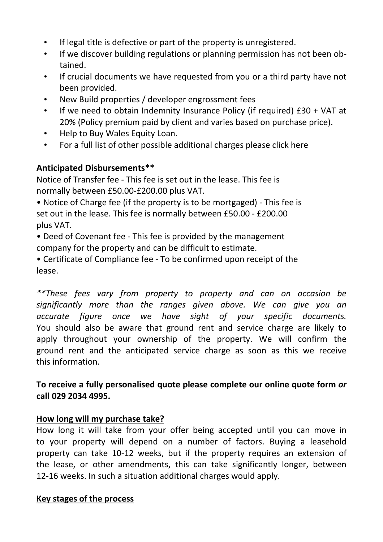- *•* If legal title is defective or part of the property is unregistered.
- *•* If we discover building regulations or planning permission has not been obtained.
- *•* If crucial documents we have requested from you or a third party have not been provided.
- *•* New Build properties / developer engrossment fees
- *•* If we need to obtain Indemnity Insurance Policy (if required) £30 + VAT at 20% (Policy premium paid by client and varies based on purchase price).
- *•* Help to Buy Wales Equity Loan.
- *•* For a full list of other possible additional charges please click here

## **Anticipated Disbursements\*\***

Notice of Transfer fee - This fee is set out in the lease. This fee is normally between £50.00-£200.00 plus VAT.

• Notice of Charge fee (if the property is to be mortgaged) - This fee is set out in the lease. This fee is normally between £50.00 - £200.00 plus VAT.

• Deed of Covenant fee - This fee is provided by the management company for the property and can be difficult to estimate.

• Certificate of Compliance fee - To be confirmed upon receipt of the lease.

*\*\*These fees vary from property to property and can on occasion be significantly more than the ranges given above. We can give you an accurate figure once we have sight of your specific documents.* You should also be aware that ground rent and service charge are likely to apply throughout your ownership of the property. We will confirm the ground rent and the anticipated service charge as soon as this we receive this information.

## **To receive a fully personalised quote please complete our [online](http://francisandbuck.co.uk/contact-us/) quote form** *or* **call 029 2034 4995.**

## **How long will my purchase take?**

How long it will take from your offer being accepted until you can move in to your property will depend on a number of factors. Buying a leasehold property can take 10-12 weeks, but if the property requires an extension of the lease, or other amendments, this can take significantly longer, between 12-16 weeks. In such a situation additional charges would apply.

#### **Key stages of the process**